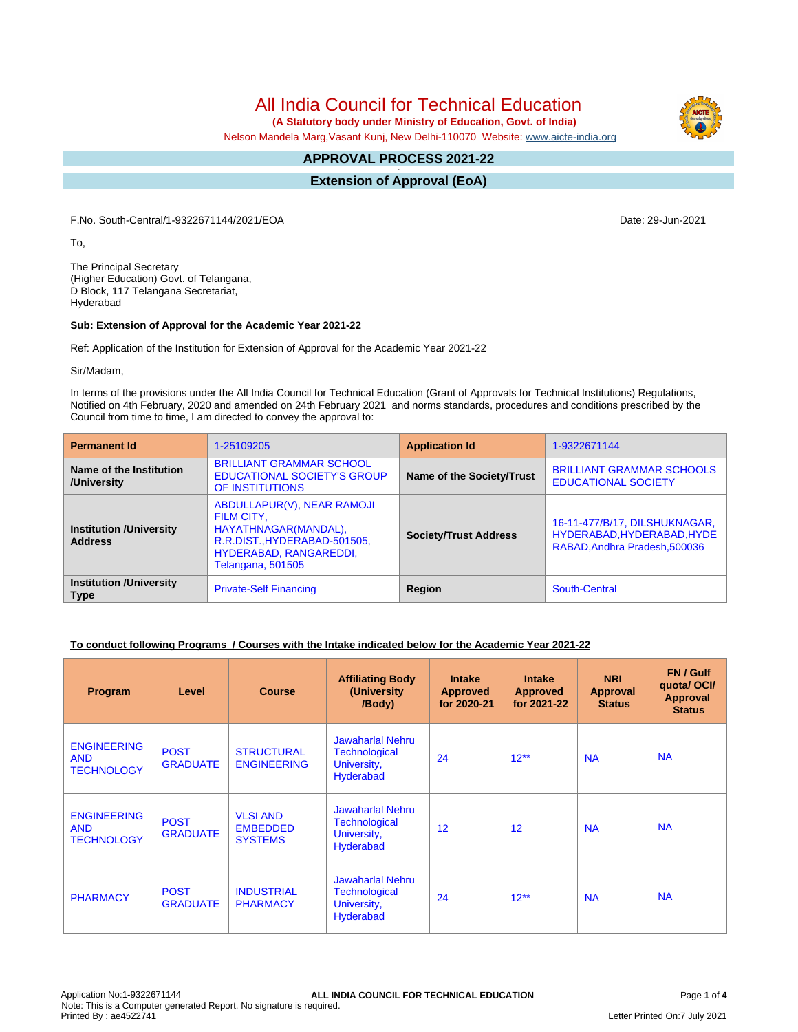All India Council for Technical Education

 **(A Statutory body under Ministry of Education, Govt. of India)**

Nelson Mandela Marg,Vasant Kunj, New Delhi-110070 Website: [www.aicte-india.org](http://www.aicte-india.org)

#### **APPROVAL PROCESS 2021-22 -**

**Extension of Approval (EoA)**

F.No. South-Central/1-9322671144/2021/EOA Date: 29-Jun-2021

To,

The Principal Secretary (Higher Education) Govt. of Telangana, D Block, 117 Telangana Secretariat, Hyderabad

#### **Sub: Extension of Approval for the Academic Year 2021-22**

Ref: Application of the Institution for Extension of Approval for the Academic Year 2021-22

Sir/Madam,

In terms of the provisions under the All India Council for Technical Education (Grant of Approvals for Technical Institutions) Regulations, Notified on 4th February, 2020 and amended on 24th February 2021 and norms standards, procedures and conditions prescribed by the Council from time to time, I am directed to convey the approval to:

| <b>Permanent Id</b>                              | 1-25109205                                                                                                                                      | <b>Application Id</b>        | 1-9322671144                                                                                 |
|--------------------------------------------------|-------------------------------------------------------------------------------------------------------------------------------------------------|------------------------------|----------------------------------------------------------------------------------------------|
| Name of the Institution<br>/University           | <b>BRILLIANT GRAMMAR SCHOOL</b><br><b>EDUCATIONAL SOCIETY'S GROUP</b><br>OF INSTITUTIONS                                                        | Name of the Society/Trust    | <b>BRILLIANT GRAMMAR SCHOOLS</b><br><b>EDUCATIONAL SOCIETY</b>                               |
| <b>Institution /University</b><br><b>Address</b> | ABDULLAPUR(V), NEAR RAMOJI<br>FILM CITY,<br>HAYATHNAGAR(MANDAL),<br>R.R.DIST., HYDERABAD-501505,<br>HYDERABAD, RANGAREDDI,<br>Telangana, 501505 | <b>Society/Trust Address</b> | 16-11-477/B/17, DILSHUKNAGAR,<br>HYDERABAD, HYDERABAD, HYDE<br>RABAD, Andhra Pradesh, 500036 |
| <b>Institution /University</b><br><b>Type</b>    | <b>Private-Self Financing</b>                                                                                                                   | Region                       | South-Central                                                                                |

### **To conduct following Programs / Courses with the Intake indicated below for the Academic Year 2021-22**

| Program                                               | Level                          | <b>Course</b>                                        | <b>Affiliating Body</b><br>(University<br>/Body)                                   | <b>Intake</b><br><b>Approved</b><br>for 2020-21 | <b>Intake</b><br><b>Approved</b><br>for 2021-22 | <b>NRI</b><br>Approval<br><b>Status</b> | FN / Gulf<br>quota/ OCI/<br><b>Approval</b><br><b>Status</b> |
|-------------------------------------------------------|--------------------------------|------------------------------------------------------|------------------------------------------------------------------------------------|-------------------------------------------------|-------------------------------------------------|-----------------------------------------|--------------------------------------------------------------|
| <b>ENGINEERING</b><br><b>AND</b><br><b>TECHNOLOGY</b> | <b>POST</b><br><b>GRADUATE</b> | <b>STRUCTURAL</b><br><b>ENGINEERING</b>              | Jawaharlal Nehru<br><b>Technological</b><br>University,<br>Hyderabad               | 24                                              | $12**$                                          | <b>NA</b>                               | <b>NA</b>                                                    |
| <b>ENGINEERING</b><br><b>AND</b><br><b>TECHNOLOGY</b> | <b>POST</b><br><b>GRADUATE</b> | <b>VLSI AND</b><br><b>EMBEDDED</b><br><b>SYSTEMS</b> | <b>Jawaharlal Nehru</b><br><b>Technological</b><br>University,<br><b>Hyderabad</b> | 12                                              | 12                                              | <b>NA</b>                               | <b>NA</b>                                                    |
| <b>PHARMACY</b>                                       | <b>POST</b><br><b>GRADUATE</b> | <b>INDUSTRIAL</b><br><b>PHARMACY</b>                 | <b>Jawaharlal Nehru</b><br><b>Technological</b><br>University,<br><b>Hyderabad</b> | 24                                              | $12**$                                          | <b>NA</b>                               | <b>NA</b>                                                    |

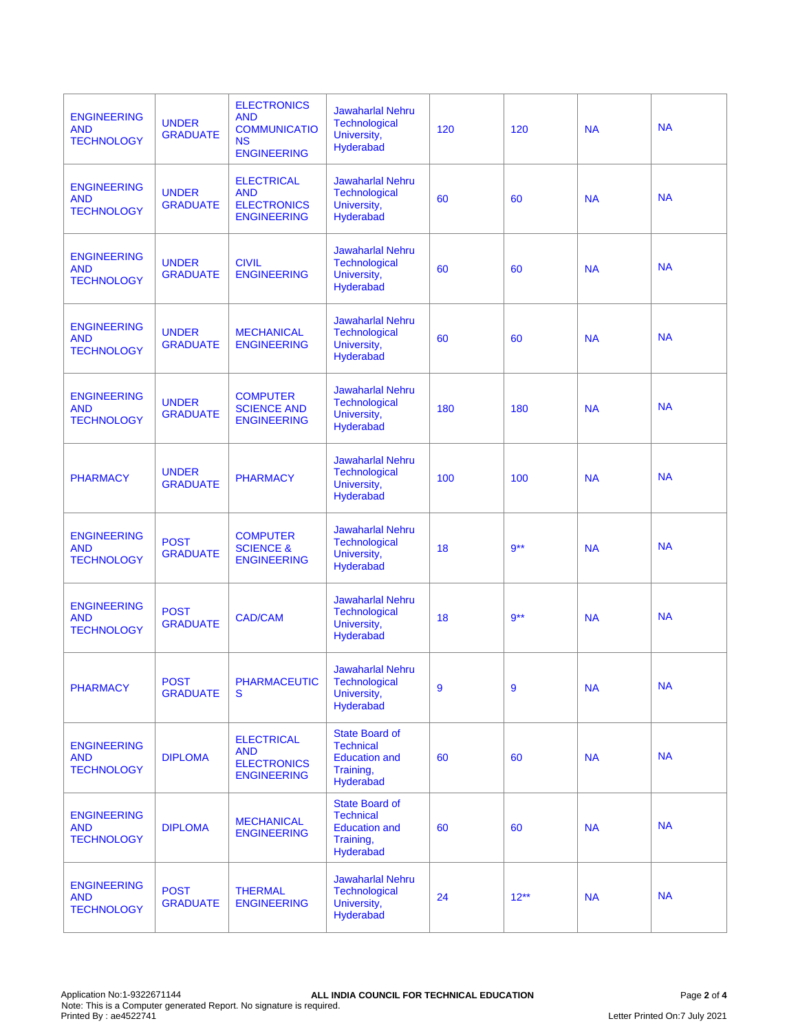| <b>ENGINEERING</b><br><b>AND</b><br><b>TECHNOLOGY</b> | <b>UNDER</b><br><b>GRADUATE</b> | <b>ELECTRONICS</b><br><b>AND</b><br><b>COMMUNICATIO</b><br><b>NS</b><br><b>ENGINEERING</b> | <b>Jawaharlal Nehru</b><br><b>Technological</b><br>University,<br>Hyderabad                 | 120 | 120     | <b>NA</b> | <b>NA</b> |
|-------------------------------------------------------|---------------------------------|--------------------------------------------------------------------------------------------|---------------------------------------------------------------------------------------------|-----|---------|-----------|-----------|
| <b>ENGINEERING</b><br><b>AND</b><br><b>TECHNOLOGY</b> | <b>UNDER</b><br><b>GRADUATE</b> | <b>ELECTRICAL</b><br><b>AND</b><br><b>ELECTRONICS</b><br><b>ENGINEERING</b>                | <b>Jawaharlal Nehru</b><br><b>Technological</b><br>University,<br>Hyderabad                 | 60  | 60      | <b>NA</b> | <b>NA</b> |
| <b>ENGINEERING</b><br><b>AND</b><br><b>TECHNOLOGY</b> | <b>UNDER</b><br><b>GRADUATE</b> | <b>CIVIL</b><br><b>ENGINEERING</b>                                                         | <b>Jawaharlal Nehru</b><br><b>Technological</b><br>University,<br>Hyderabad                 | 60  | 60      | <b>NA</b> | <b>NA</b> |
| <b>ENGINEERING</b><br><b>AND</b><br><b>TECHNOLOGY</b> | <b>UNDER</b><br><b>GRADUATE</b> | <b>MECHANICAL</b><br><b>ENGINEERING</b>                                                    | <b>Jawaharlal Nehru</b><br><b>Technological</b><br>University,<br>Hyderabad                 | 60  | 60      | <b>NA</b> | <b>NA</b> |
| <b>ENGINEERING</b><br><b>AND</b><br><b>TECHNOLOGY</b> | <b>UNDER</b><br><b>GRADUATE</b> | <b>COMPUTER</b><br><b>SCIENCE AND</b><br><b>ENGINEERING</b>                                | <b>Jawaharlal Nehru</b><br>Technological<br>University,<br><b>Hyderabad</b>                 | 180 | 180     | <b>NA</b> | <b>NA</b> |
| <b>PHARMACY</b>                                       | <b>UNDER</b><br><b>GRADUATE</b> | <b>PHARMACY</b>                                                                            | <b>Jawaharlal Nehru</b><br>Technological<br>University,<br>Hyderabad                        | 100 | 100     | <b>NA</b> | <b>NA</b> |
| <b>ENGINEERING</b><br><b>AND</b><br><b>TECHNOLOGY</b> | <b>POST</b><br><b>GRADUATE</b>  | <b>COMPUTER</b><br><b>SCIENCE &amp;</b><br><b>ENGINEERING</b>                              | <b>Jawaharlal Nehru</b><br><b>Technological</b><br>University,<br>Hyderabad                 | 18  | $9***$  | <b>NA</b> | <b>NA</b> |
| <b>ENGINEERING</b><br><b>AND</b><br><b>TECHNOLOGY</b> | <b>POST</b><br><b>GRADUATE</b>  | <b>CAD/CAM</b>                                                                             | <b>Jawaharlal Nehru</b><br><b>Technological</b><br>University,<br>Hyderabad                 | 18  | $9**$   | <b>NA</b> | <b>NA</b> |
| <b>PHARMACY</b>                                       | <b>POST</b><br><b>GRADUATE</b>  | <b>PHARMACEUTIC</b><br>s                                                                   | <b>Jawaharlal Nehru</b><br><b>Technological</b><br>University,<br>Hyderabad                 | 9   | 9       | <b>NA</b> | <b>NA</b> |
| <b>ENGINEERING</b><br><b>AND</b><br><b>TECHNOLOGY</b> | <b>DIPLOMA</b>                  | <b>ELECTRICAL</b><br><b>AND</b><br><b>ELECTRONICS</b><br><b>ENGINEERING</b>                | <b>State Board of</b><br><b>Technical</b><br><b>Education and</b><br>Training,<br>Hyderabad | 60  | 60      | <b>NA</b> | <b>NA</b> |
| <b>ENGINEERING</b><br><b>AND</b><br><b>TECHNOLOGY</b> | <b>DIPLOMA</b>                  | <b>MECHANICAL</b><br><b>ENGINEERING</b>                                                    | <b>State Board of</b><br><b>Technical</b><br><b>Education and</b><br>Training,<br>Hyderabad | 60  | 60      | <b>NA</b> | <b>NA</b> |
| <b>ENGINEERING</b><br><b>AND</b><br><b>TECHNOLOGY</b> | <b>POST</b><br><b>GRADUATE</b>  | <b>THERMAL</b><br><b>ENGINEERING</b>                                                       | <b>Jawaharlal Nehru</b><br><b>Technological</b><br>University,<br>Hyderabad                 | 24  | $12***$ | <b>NA</b> | <b>NA</b> |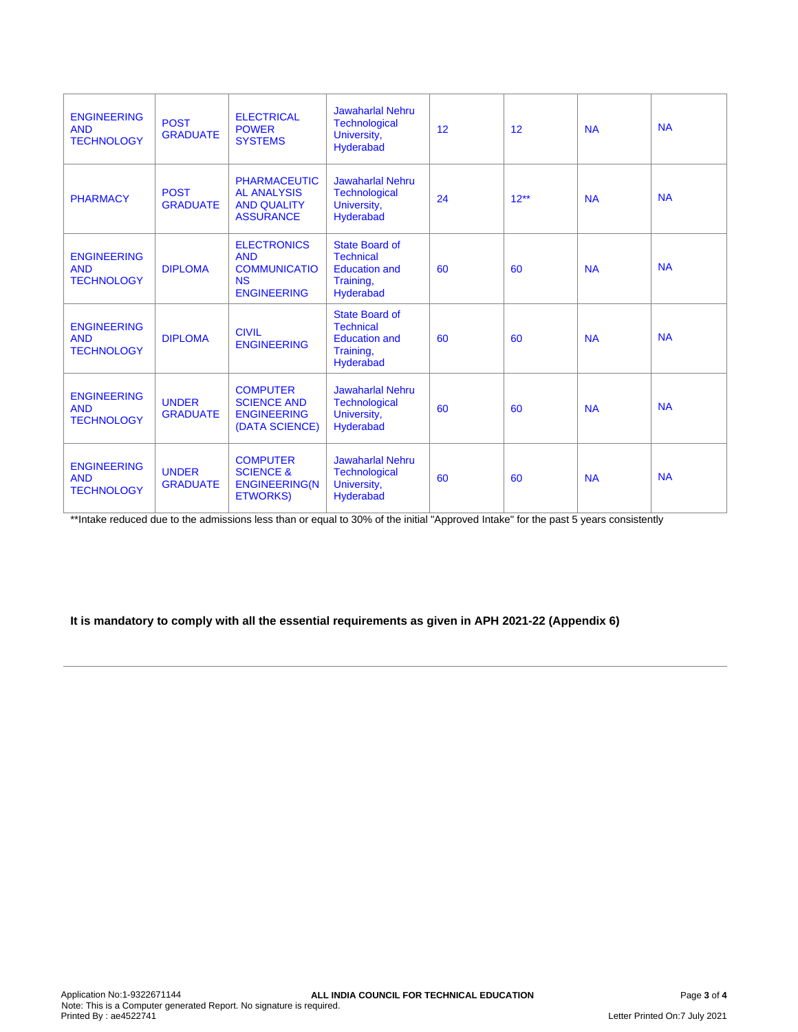| <b>ENGINEERING</b><br><b>AND</b><br><b>TECHNOLOGY</b> | <b>POST</b><br><b>GRADUATE</b>  | <b>ELECTRICAL</b><br><b>POWER</b><br><b>SYSTEMS</b>                                        | <b>Jawaharlal Nehru</b><br><b>Technological</b><br>University,<br><b>Hyderabad</b>          | 12 | 12      | <b>NA</b> | <b>NA</b> |
|-------------------------------------------------------|---------------------------------|--------------------------------------------------------------------------------------------|---------------------------------------------------------------------------------------------|----|---------|-----------|-----------|
| <b>PHARMACY</b>                                       | <b>POST</b><br><b>GRADUATE</b>  | <b>PHARMACEUTIC</b><br><b>AL ANALYSIS</b><br><b>AND QUALITY</b><br><b>ASSURANCE</b>        | <b>Jawaharlal Nehru</b><br><b>Technological</b><br>University,<br><b>Hyderabad</b>          | 24 | $12***$ | <b>NA</b> | <b>NA</b> |
| <b>ENGINEERING</b><br><b>AND</b><br><b>TECHNOLOGY</b> | <b>DIPLOMA</b>                  | <b>ELECTRONICS</b><br><b>AND</b><br><b>COMMUNICATIO</b><br><b>NS</b><br><b>ENGINEERING</b> | State Board of<br><b>Technical</b><br><b>Education and</b><br>Training,<br><b>Hyderabad</b> | 60 | 60      | <b>NA</b> | <b>NA</b> |
| <b>ENGINEERING</b><br><b>AND</b><br><b>TECHNOLOGY</b> | <b>DIPLOMA</b>                  | <b>CIVIL</b><br><b>ENGINEERING</b>                                                         | State Board of<br><b>Technical</b><br><b>Education and</b><br>Training,<br><b>Hyderabad</b> | 60 | 60      | <b>NA</b> | <b>NA</b> |
| <b>ENGINEERING</b><br><b>AND</b><br><b>TECHNOLOGY</b> | <b>UNDER</b><br><b>GRADUATE</b> | <b>COMPUTER</b><br><b>SCIENCE AND</b><br><b>ENGINEERING</b><br>(DATA SCIENCE)              | <b>Jawaharlal Nehru</b><br><b>Technological</b><br>University,<br>Hyderabad                 | 60 | 60      | <b>NA</b> | <b>NA</b> |
| <b>ENGINEERING</b><br><b>AND</b><br><b>TECHNOLOGY</b> | <b>UNDER</b><br><b>GRADUATE</b> | <b>COMPUTER</b><br><b>SCIENCE &amp;</b><br><b>ENGINEERING(N</b><br><b>ETWORKS)</b>         | <b>Jawaharlal Nehru</b><br><b>Technological</b><br>University,<br><b>Hyderabad</b>          | 60 | 60      | <b>NA</b> | <b>NA</b> |

\*\*Intake reduced due to the admissions less than or equal to 30% of the initial "Approved Intake" for the past 5 years consistently

## **It is mandatory to comply with all the essential requirements as given in APH 2021-22 (Appendix 6)**